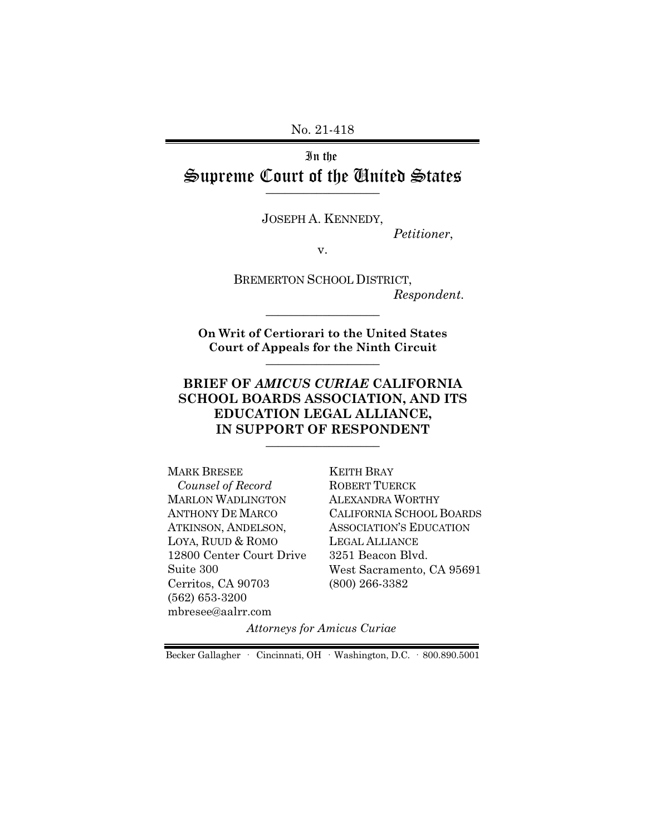No. 21-418

# In the Supreme Court of the United States  $\overline{\phantom{a}}$  , where  $\overline{\phantom{a}}$

JOSEPH A. KENNEDY,

*Petitioner*,

v.

BREMERTON SCHOOL DISTRICT, *Respondent.*

**On Writ of Certiorari to the United States Court of Appeals for the Ninth Circuit** \_\_\_\_\_\_\_\_\_\_\_\_\_\_\_\_\_\_

\_\_\_\_\_\_\_\_\_\_\_\_\_\_\_\_\_\_

### **BRIEF OF** *AMICUS CURIAE* **CALIFORNIA SCHOOL BOARDS ASSOCIATION, AND ITS EDUCATION LEGAL ALLIANCE, IN SUPPORT OF RESPONDENT**  $\_$

MARK BRESEE  *Counsel of Record* MARLON WADLINGTON ANTHONY DE MARCO ATKINSON, ANDELSON, LOYA, RUUD & ROMO 12800 Center Court Drive Suite 300 Cerritos, CA 90703 (562) 653-3200 mbresee@aalrr.com

KEITH BRAY ROBERT TUERCK ALEXANDRA WORTHY CALIFORNIA SCHOOL BOARDS ASSOCIATION'S EDUCATION LEGAL ALLIANCE 3251 Beacon Blvd. West Sacramento, CA 95691 (800) 266-3382

*Attorneys for Amicus Curiae* 

Becker Gallagher · Cincinnati, OH · Washington, D.C. · 800.890.5001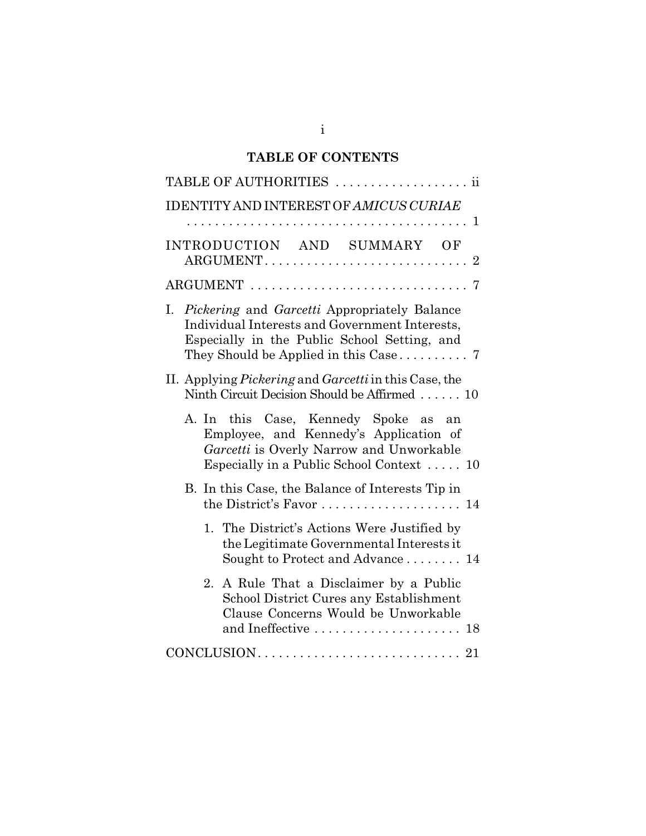# **TABLE OF CONTENTS**

| TABLE OF AUTHORITIES<br>11                                                                                                                                              |
|-------------------------------------------------------------------------------------------------------------------------------------------------------------------------|
| IDENTITY AND INTEREST OF AMICUS CURIAE                                                                                                                                  |
| INTRODUCTION AND SUMMARY OF                                                                                                                                             |
|                                                                                                                                                                         |
| I. Pickering and Garcetti Appropriately Balance<br>Individual Interests and Government Interests,<br>Especially in the Public School Setting, and                       |
| II. Applying Pickering and Garcetti in this Case, the<br>Ninth Circuit Decision Should be Affirmed  10                                                                  |
| A. In this Case, Kennedy Spoke as an<br>Employee, and Kennedy's Application of<br>Garcetti is Overly Narrow and Unworkable<br>Especially in a Public School Context  10 |
| B. In this Case, the Balance of Interests Tip in<br>the District's Favor $\dots \dots \dots \dots \dots \dots \dots \dots$                                              |
| 1. The District's Actions Were Justified by<br>the Legitimate Governmental Interests it<br>Sought to Protect and Advance 14                                             |
| A Rule That a Disclaimer by a Public<br>2.<br>School District Cures any Establishment<br>Clause Concerns Would be Unworkable<br>and Ineffective  18                     |
|                                                                                                                                                                         |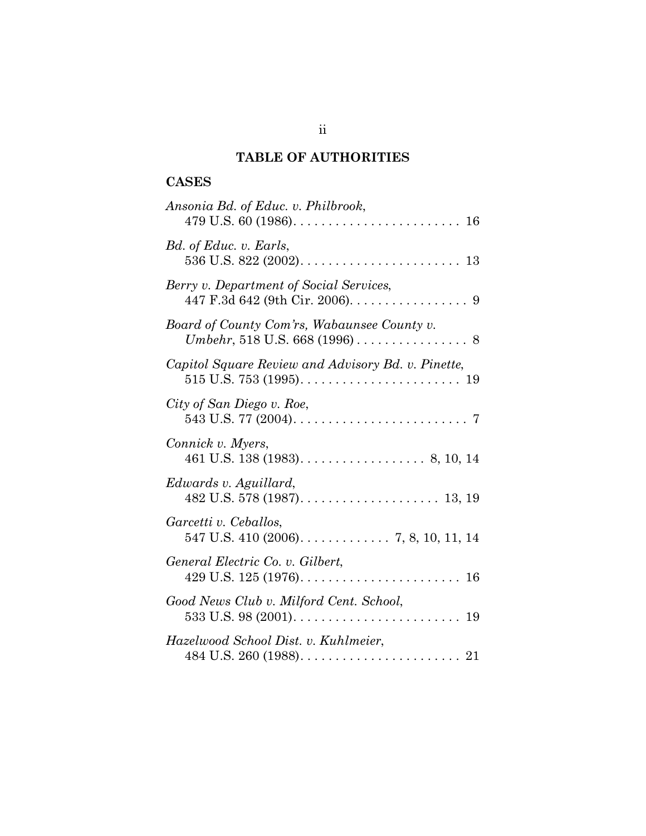# **TABLE OF AUTHORITIES**

# **CASES**

| Ansonia Bd. of Educ. v. Philbrook,                                                                           |
|--------------------------------------------------------------------------------------------------------------|
| Bd. of Educ. v. Earls,                                                                                       |
| Berry v. Department of Social Services,<br>447 F.3d 642 (9th Cir. 2006). 9                                   |
| Board of County Com'rs, Wabaunsee County v.                                                                  |
| Capitol Square Review and Advisory Bd. v. Pinette,                                                           |
| City of San Diego v. Roe,<br>543 U.S. 77 (2004). $\ldots \ldots \ldots \ldots \ldots \ldots \ldots \ldots$ 7 |
| Connick v. Myers,                                                                                            |
| Edwards v. Aguillard,                                                                                        |
| Garcetti v. Ceballos,<br>547 U.S. 410 (2006). $\ldots$ . $\ldots$ . $\ldots$ 7, 8, 10, 11, 14                |
| General Electric Co. v. Gilbert,                                                                             |
| Good News Club v. Milford Cent. School,                                                                      |
| Hazelwood School Dist. v. Kuhlmeier,                                                                         |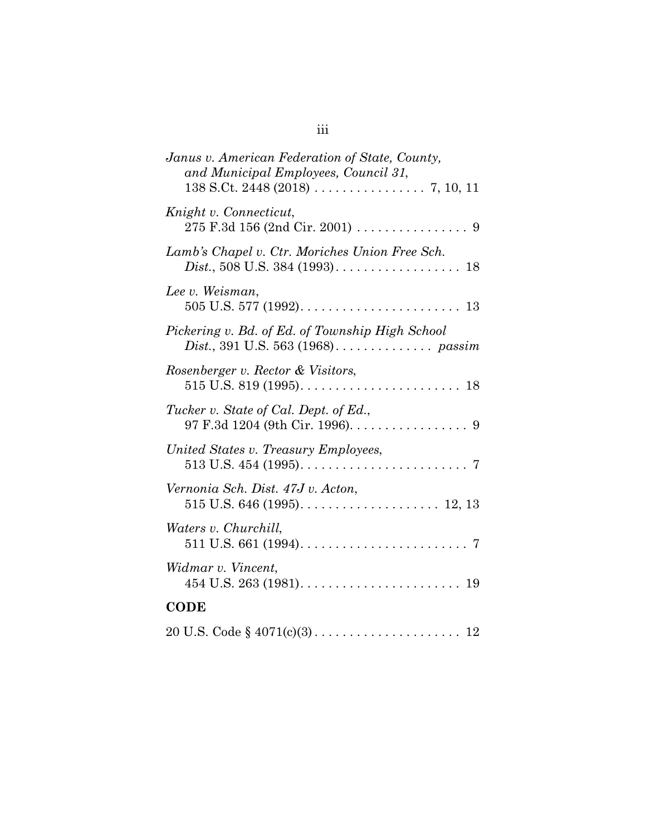| Janus v. American Federation of State, County,<br>and Municipal Employees, Council 31, |
|----------------------------------------------------------------------------------------|
| Knight v. Connecticut,                                                                 |
| Lamb's Chapel v. Ctr. Moriches Union Free Sch.                                         |
| Lee v. Weisman,                                                                        |
| Pickering v. Bd. of Ed. of Township High School                                        |
| Rosenberger v. Rector & Visitors,                                                      |
| Tucker v. State of Cal. Dept. of Ed.,<br>97 F.3d 1204 (9th Cir. 1996). 9               |
| United States v. Treasury Employees,                                                   |
| Vernonia Sch. Dist. 47J v. Acton,                                                      |
| Waters v. Churchill,                                                                   |
| Widmar v. Vincent,                                                                     |
| <b>CODE</b>                                                                            |
|                                                                                        |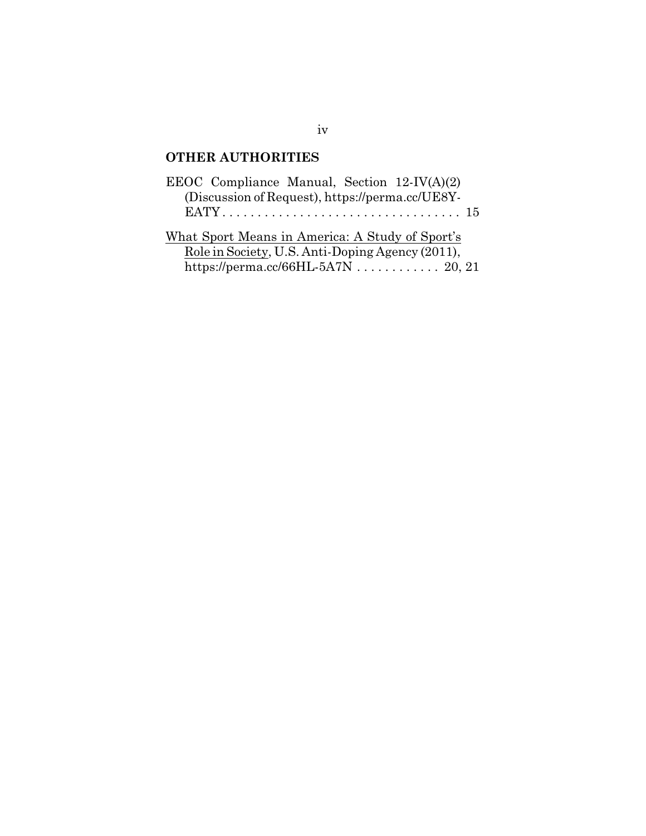# **OTHER AUTHORITIES**

| EEOC Compliance Manual, Section $12$ -IV(A)(2)                                                      |  |
|-----------------------------------------------------------------------------------------------------|--|
| (Discussion of Request), https://perma.cc/UE8Y-                                                     |  |
|                                                                                                     |  |
| What Sport Means in America: A Study of Sport's<br>Role in Society, U.S. Anti-Doping Agency (2011), |  |
| https://perma.cc/66HL-5A7N  20, 21                                                                  |  |

# iv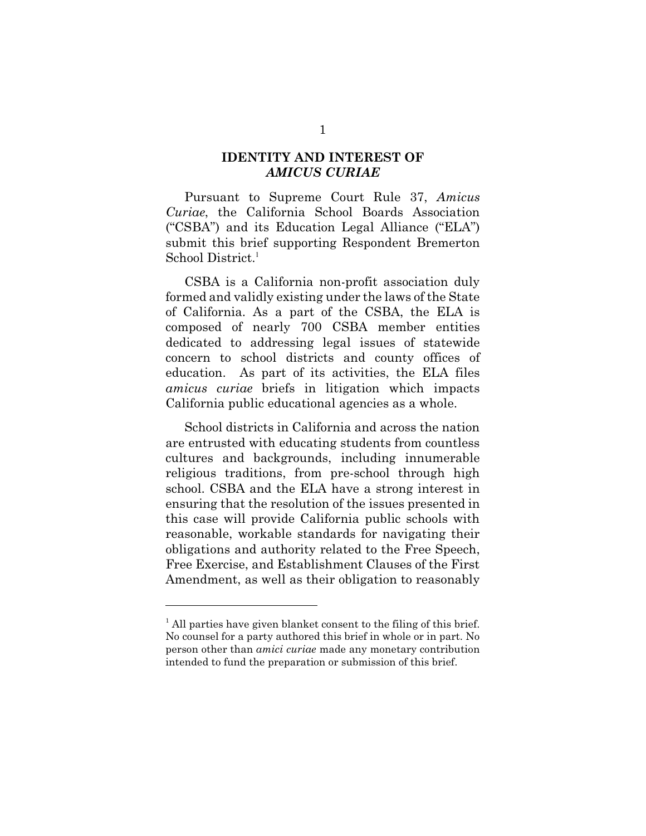### **IDENTITY AND INTEREST OF** *AMICUS CURIAE*

Pursuant to Supreme Court Rule 37, *Amicus Curiae*, the California School Boards Association ("CSBA") and its Education Legal Alliance ("ELA") submit this brief supporting Respondent Bremerton School District.<sup>1</sup>

CSBA is a California non-profit association duly formed and validly existing under the laws of the State of California. As a part of the CSBA, the ELA is composed of nearly 700 CSBA member entities dedicated to addressing legal issues of statewide concern to school districts and county offices of education. As part of its activities, the ELA files *amicus curiae* briefs in litigation which impacts California public educational agencies as a whole.

School districts in California and across the nation are entrusted with educating students from countless cultures and backgrounds, including innumerable religious traditions, from pre-school through high school. CSBA and the ELA have a strong interest in ensuring that the resolution of the issues presented in this case will provide California public schools with reasonable, workable standards for navigating their obligations and authority related to the Free Speech, Free Exercise, and Establishment Clauses of the First Amendment, as well as their obligation to reasonably

<sup>&</sup>lt;sup>1</sup> All parties have given blanket consent to the filing of this brief. No counsel for a party authored this brief in whole or in part. No person other than *amici curiae* made any monetary contribution intended to fund the preparation or submission of this brief.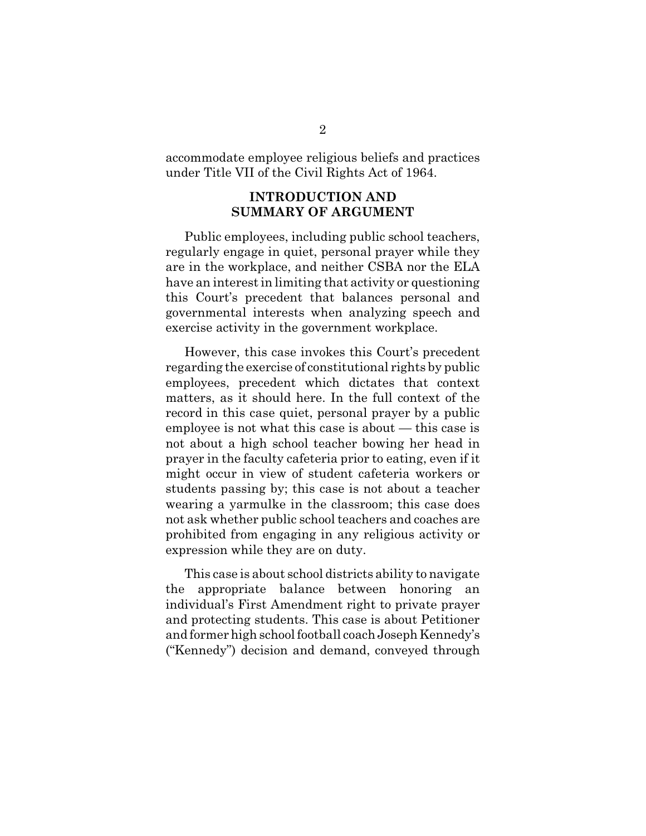accommodate employee religious beliefs and practices under Title VII of the Civil Rights Act of 1964.

### **INTRODUCTION AND SUMMARY OF ARGUMENT**

Public employees, including public school teachers, regularly engage in quiet, personal prayer while they are in the workplace, and neither CSBA nor the ELA have an interest in limiting that activity or questioning this Court's precedent that balances personal and governmental interests when analyzing speech and exercise activity in the government workplace.

However, this case invokes this Court's precedent regarding the exercise of constitutional rights by public employees, precedent which dictates that context matters, as it should here. In the full context of the record in this case quiet, personal prayer by a public employee is not what this case is about — this case is not about a high school teacher bowing her head in prayer in the faculty cafeteria prior to eating, even if it might occur in view of student cafeteria workers or students passing by; this case is not about a teacher wearing a yarmulke in the classroom; this case does not ask whether public school teachers and coaches are prohibited from engaging in any religious activity or expression while they are on duty.

This case is about school districts ability to navigate the appropriate balance between honoring an individual's First Amendment right to private prayer and protecting students. This case is about Petitioner and former high school football coach Joseph Kennedy's ("Kennedy") decision and demand, conveyed through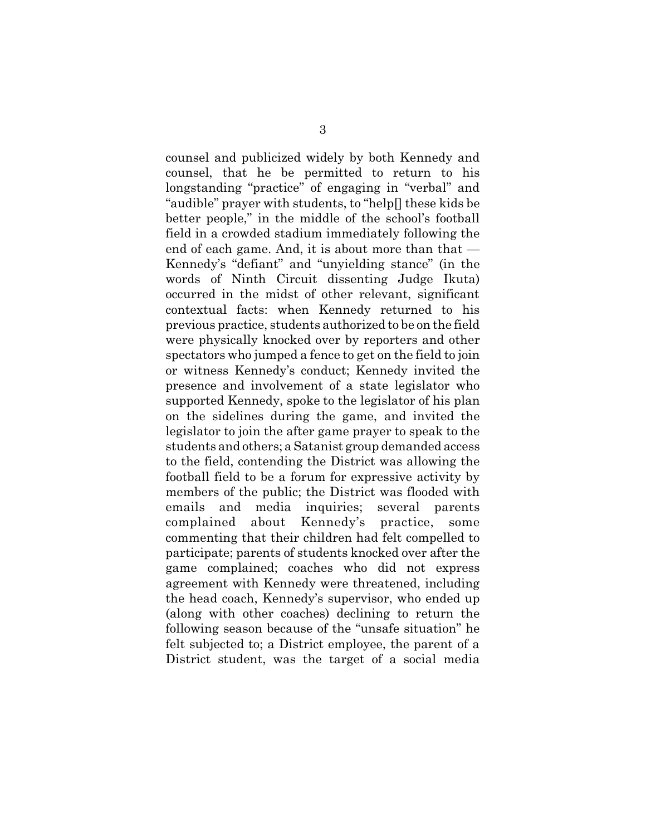counsel and publicized widely by both Kennedy and counsel, that he be permitted to return to his longstanding "practice" of engaging in "verbal" and "audible" prayer with students, to "help[] these kids be better people," in the middle of the school's football field in a crowded stadium immediately following the end of each game. And, it is about more than that — Kennedy's "defiant" and "unyielding stance" (in the words of Ninth Circuit dissenting Judge Ikuta) occurred in the midst of other relevant, significant contextual facts: when Kennedy returned to his previous practice, students authorized to be on the field were physically knocked over by reporters and other spectators who jumped a fence to get on the field to join or witness Kennedy's conduct; Kennedy invited the presence and involvement of a state legislator who supported Kennedy, spoke to the legislator of his plan on the sidelines during the game, and invited the legislator to join the after game prayer to speak to the students and others; a Satanist group demanded access to the field, contending the District was allowing the football field to be a forum for expressive activity by members of the public; the District was flooded with emails and media inquiries; several parents complained about Kennedy's practice, some commenting that their children had felt compelled to participate; parents of students knocked over after the game complained; coaches who did not express agreement with Kennedy were threatened, including the head coach, Kennedy's supervisor, who ended up (along with other coaches) declining to return the following season because of the "unsafe situation" he felt subjected to; a District employee, the parent of a District student, was the target of a social media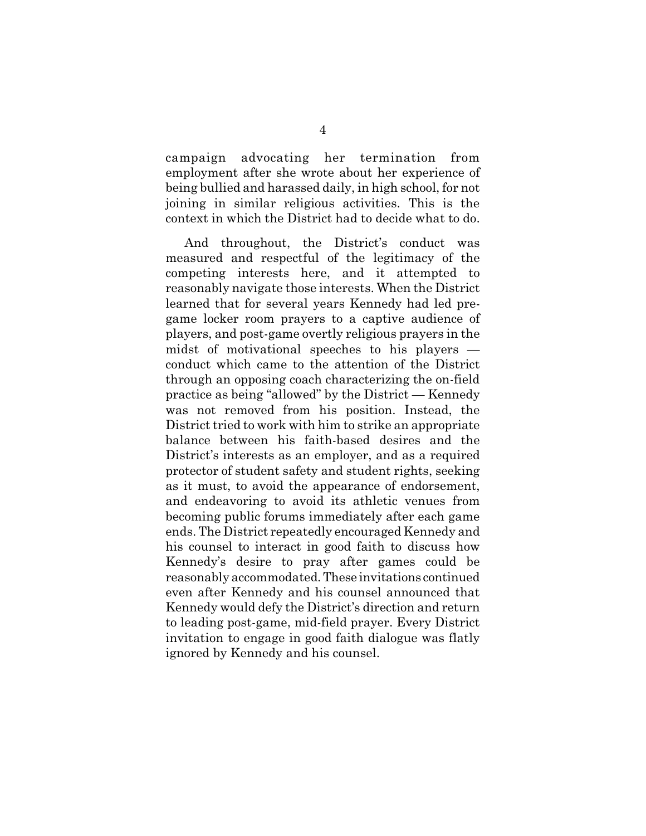campaign advocating her termination from employment after she wrote about her experience of being bullied and harassed daily, in high school, for not joining in similar religious activities. This is the context in which the District had to decide what to do.

And throughout, the District's conduct was measured and respectful of the legitimacy of the competing interests here, and it attempted to reasonably navigate those interests. When the District learned that for several years Kennedy had led pregame locker room prayers to a captive audience of players, and post-game overtly religious prayers in the midst of motivational speeches to his players conduct which came to the attention of the District through an opposing coach characterizing the on-field practice as being "allowed" by the District — Kennedy was not removed from his position. Instead, the District tried to work with him to strike an appropriate balance between his faith-based desires and the District's interests as an employer, and as a required protector of student safety and student rights, seeking as it must, to avoid the appearance of endorsement, and endeavoring to avoid its athletic venues from becoming public forums immediately after each game ends. The District repeatedly encouraged Kennedy and his counsel to interact in good faith to discuss how Kennedy's desire to pray after games could be reasonably accommodated. These invitations continued even after Kennedy and his counsel announced that Kennedy would defy the District's direction and return to leading post-game, mid-field prayer. Every District invitation to engage in good faith dialogue was flatly ignored by Kennedy and his counsel.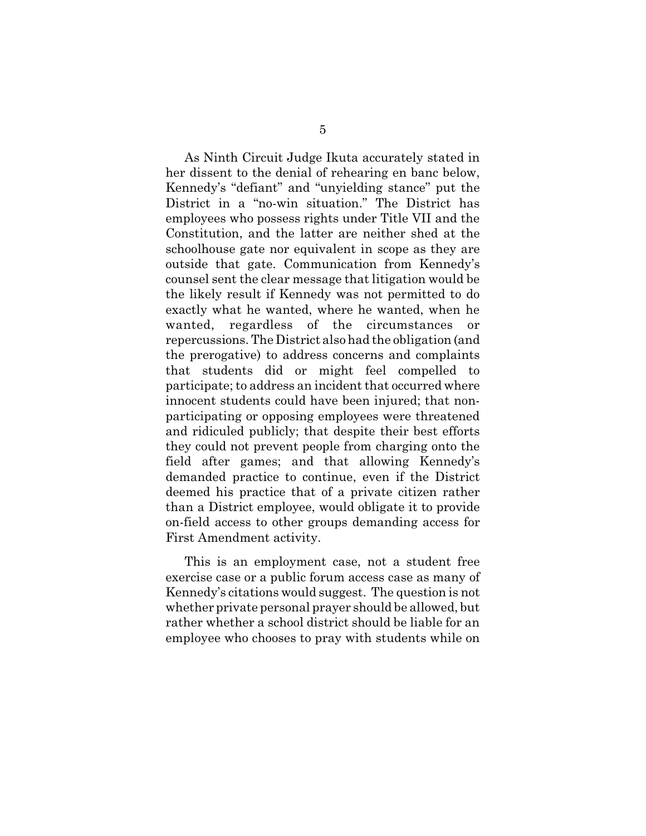As Ninth Circuit Judge Ikuta accurately stated in her dissent to the denial of rehearing en banc below, Kennedy's "defiant" and "unyielding stance" put the District in a "no-win situation." The District has employees who possess rights under Title VII and the Constitution, and the latter are neither shed at the schoolhouse gate nor equivalent in scope as they are outside that gate. Communication from Kennedy's counsel sent the clear message that litigation would be the likely result if Kennedy was not permitted to do exactly what he wanted, where he wanted, when he wanted, regardless of the circumstances repercussions. The District also had the obligation (and the prerogative) to address concerns and complaints that students did or might feel compelled to participate; to address an incident that occurred where innocent students could have been injured; that nonparticipating or opposing employees were threatened and ridiculed publicly; that despite their best efforts they could not prevent people from charging onto the field after games; and that allowing Kennedy's demanded practice to continue, even if the District deemed his practice that of a private citizen rather than a District employee, would obligate it to provide on-field access to other groups demanding access for First Amendment activity.

This is an employment case, not a student free exercise case or a public forum access case as many of Kennedy's citations would suggest. The question is not whether private personal prayer should be allowed, but rather whether a school district should be liable for an employee who chooses to pray with students while on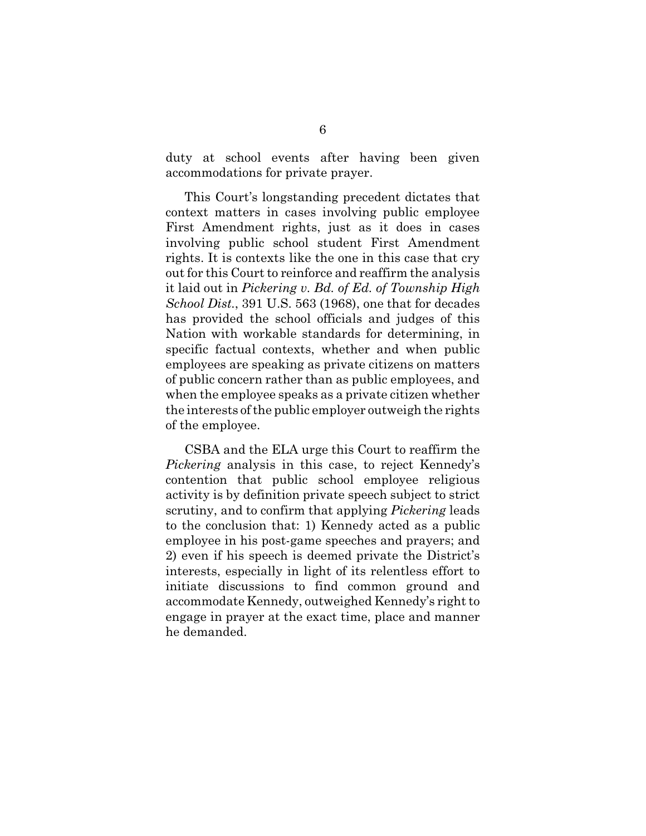duty at school events after having been given accommodations for private prayer.

This Court's longstanding precedent dictates that context matters in cases involving public employee First Amendment rights, just as it does in cases involving public school student First Amendment rights. It is contexts like the one in this case that cry out for this Court to reinforce and reaffirm the analysis it laid out in *Pickering v. Bd. of Ed. of Township High School Dist.*, 391 U.S. 563 (1968), one that for decades has provided the school officials and judges of this Nation with workable standards for determining, in specific factual contexts, whether and when public employees are speaking as private citizens on matters of public concern rather than as public employees, and when the employee speaks as a private citizen whether the interests of the public employer outweigh the rights of the employee.

CSBA and the ELA urge this Court to reaffirm the *Pickering* analysis in this case, to reject Kennedy's contention that public school employee religious activity is by definition private speech subject to strict scrutiny, and to confirm that applying *Pickering* leads to the conclusion that: 1) Kennedy acted as a public employee in his post-game speeches and prayers; and 2) even if his speech is deemed private the District's interests, especially in light of its relentless effort to initiate discussions to find common ground and accommodate Kennedy, outweighed Kennedy's right to engage in prayer at the exact time, place and manner he demanded.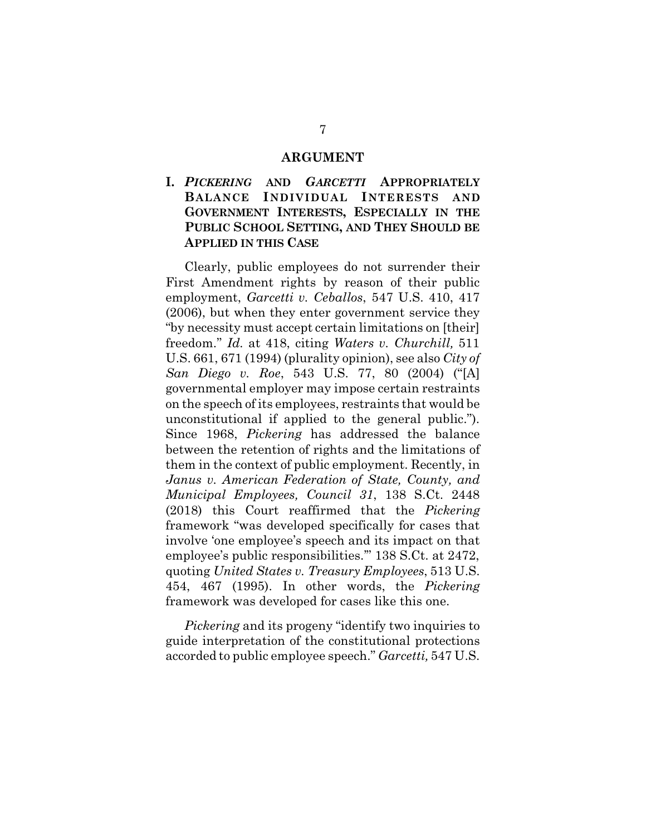#### **ARGUMENT**

# **I.** *PICKERING* **AND** *GARCETTI* **APPROPRIATELY BALANCE INDIVIDUAL INTERESTS AND GOVERNMENT INTERESTS, ESPECIALLY IN THE PUBLIC SCHOOL SETTING, AND THEY SHOULD BE APPLIED IN THIS CASE**

Clearly, public employees do not surrender their First Amendment rights by reason of their public employment, *Garcetti v. Ceballos*, 547 U.S. 410, 417 (2006), but when they enter government service they "by necessity must accept certain limitations on [their] freedom." *Id.* at 418, citing *Waters v. Churchill,* 511 U.S. 661, 671 (1994) (plurality opinion), see also *City of San Diego v. Roe*, 543 U.S. 77, 80 (2004) ("[A] governmental employer may impose certain restraints on the speech of its employees, restraints that would be unconstitutional if applied to the general public."). Since 1968, *Pickering* has addressed the balance between the retention of rights and the limitations of them in the context of public employment. Recently, in *Janus v. American Federation of State, County, and Municipal Employees, Council 31*, 138 S.Ct. 2448 (2018) this Court reaffirmed that the *Pickering* framework "was developed specifically for cases that involve 'one employee's speech and its impact on that employee's public responsibilities.'" 138 S.Ct. at 2472, quoting *United States v. Treasury Employees*, 513 U.S. 454, 467 (1995). In other words, the *Pickering* framework was developed for cases like this one.

*Pickering* and its progeny "identify two inquiries to guide interpretation of the constitutional protections accorded to public employee speech." *Garcetti,* 547 U.S.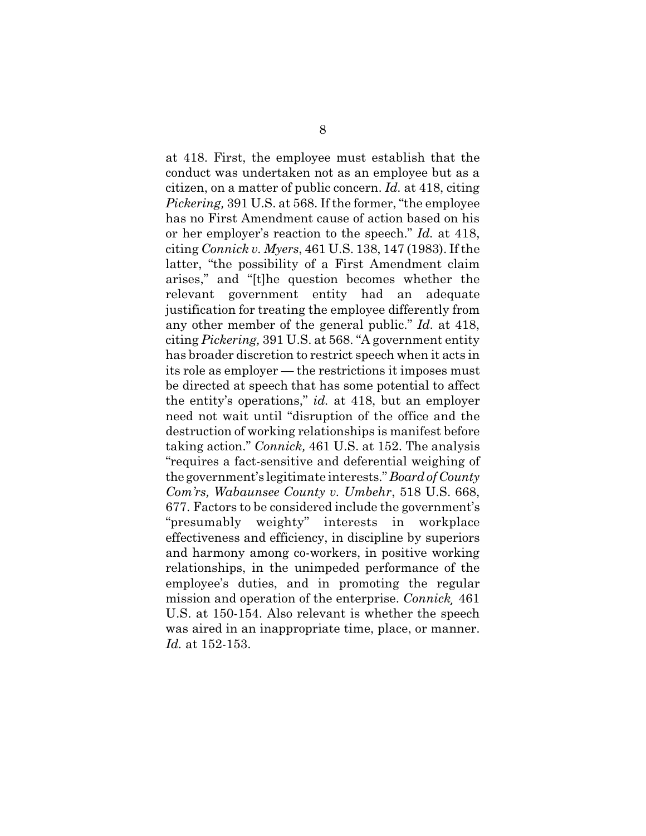at 418. First, the employee must establish that the conduct was undertaken not as an employee but as a citizen, on a matter of public concern. *Id.* at 418, citing *Pickering,* 391 U.S. at 568. If the former, "the employee has no First Amendment cause of action based on his or her employer's reaction to the speech." *Id.* at 418, citing *Connick v. Myers*, 461 U.S. 138, 147 (1983). If the latter, "the possibility of a First Amendment claim arises," and "[t]he question becomes whether the relevant government entity had an adequate justification for treating the employee differently from any other member of the general public." *Id.* at 418, citing *Pickering,* 391 U.S. at 568. "A government entity has broader discretion to restrict speech when it acts in its role as employer — the restrictions it imposes must be directed at speech that has some potential to affect the entity's operations," *id.* at 418, but an employer need not wait until "disruption of the office and the destruction of working relationships is manifest before taking action." *Connick,* 461 U.S. at 152. The analysis "requires a fact-sensitive and deferential weighing of the government's legitimate interests." *Board of County Com'rs, Wabaunsee County v. Umbehr*, 518 U.S. 668, 677. Factors to be considered include the government's "presumably weighty" interests in workplace effectiveness and efficiency, in discipline by superiors and harmony among co-workers, in positive working relationships, in the unimpeded performance of the employee's duties, and in promoting the regular mission and operation of the enterprise. *Connick¸* 461 U.S. at 150-154. Also relevant is whether the speech was aired in an inappropriate time, place, or manner. *Id.* at 152-153.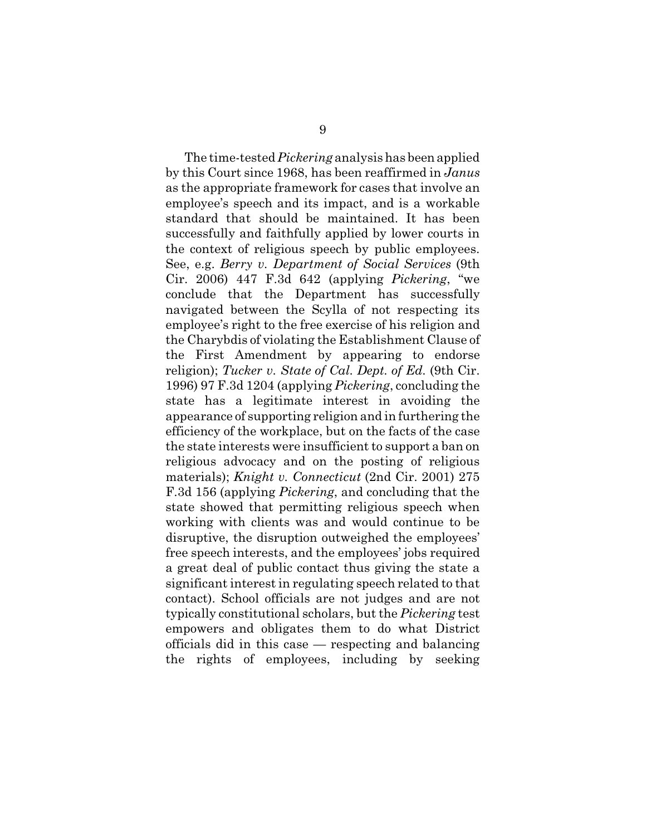The time-tested *Pickering* analysis has been applied by this Court since 1968, has been reaffirmed in *Janus* as the appropriate framework for cases that involve an employee's speech and its impact, and is a workable standard that should be maintained. It has been successfully and faithfully applied by lower courts in the context of religious speech by public employees. See, e.g. *Berry v. Department of Social Services* (9th Cir. 2006) 447 F.3d 642 (applying *Pickering*, "we conclude that the Department has successfully navigated between the Scylla of not respecting its employee's right to the free exercise of his religion and the Charybdis of violating the Establishment Clause of the First Amendment by appearing to endorse religion); *Tucker v. State of Cal. Dept. of Ed.* (9th Cir. 1996) 97 F.3d 1204 (applying *Pickering*, concluding the state has a legitimate interest in avoiding the appearance of supporting religion and in furthering the efficiency of the workplace, but on the facts of the case the state interests were insufficient to support a ban on religious advocacy and on the posting of religious materials); *Knight v. Connecticut* (2nd Cir. 2001) 275 F.3d 156 (applying *Pickering*, and concluding that the state showed that permitting religious speech when working with clients was and would continue to be disruptive, the disruption outweighed the employees' free speech interests, and the employees' jobs required a great deal of public contact thus giving the state a significant interest in regulating speech related to that contact). School officials are not judges and are not typically constitutional scholars, but the *Pickering* test empowers and obligates them to do what District officials did in this case — respecting and balancing the rights of employees, including by seeking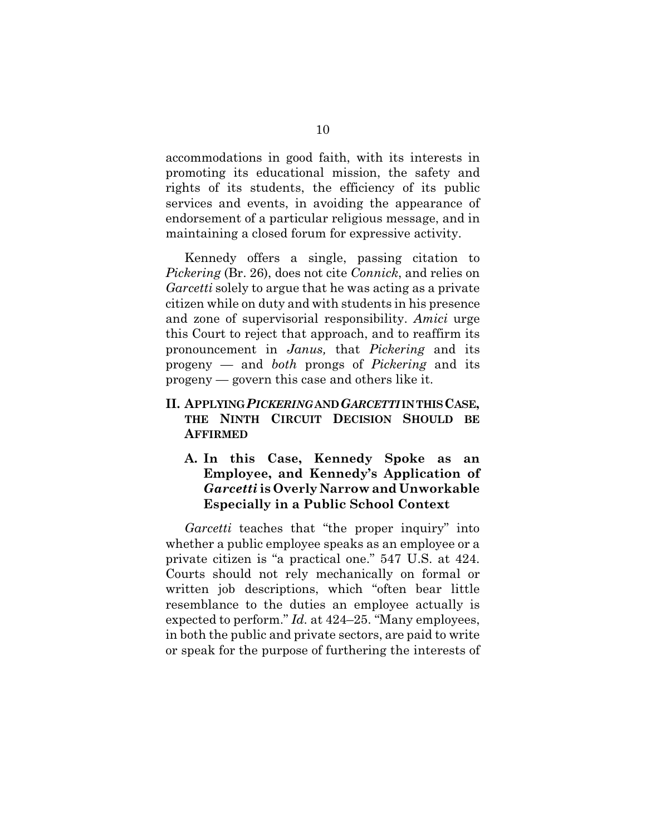accommodations in good faith, with its interests in promoting its educational mission, the safety and rights of its students, the efficiency of its public services and events, in avoiding the appearance of endorsement of a particular religious message, and in maintaining a closed forum for expressive activity.

Kennedy offers a single, passing citation to *Pickering* (Br. 26), does not cite *Connick*, and relies on *Garcetti* solely to argue that he was acting as a private citizen while on duty and with students in his presence and zone of supervisorial responsibility. *Amici* urge this Court to reject that approach, and to reaffirm its pronouncement in *Janus,* that *Pickering* and its progeny — and *both* prongs of *Pickering* and its progeny — govern this case and others like it.

# **II. APPLYING** *PICKERING* **AND** *GARCETTI* **IN THIS CASE, THE NINTH CIRCUIT DECISION SHOULD BE AFFIRMED**

# **A. In this Case, Kennedy Spoke as an Employee, and Kennedy's Application of** *Garcetti* **is Overly Narrow and Unworkable Especially in a Public School Context**

*Garcetti* teaches that "the proper inquiry" into whether a public employee speaks as an employee or a private citizen is "a practical one." 547 U.S. at 424. Courts should not rely mechanically on formal or written job descriptions, which "often bear little resemblance to the duties an employee actually is expected to perform." *Id.* at 424–25. "Many employees, in both the public and private sectors, are paid to write or speak for the purpose of furthering the interests of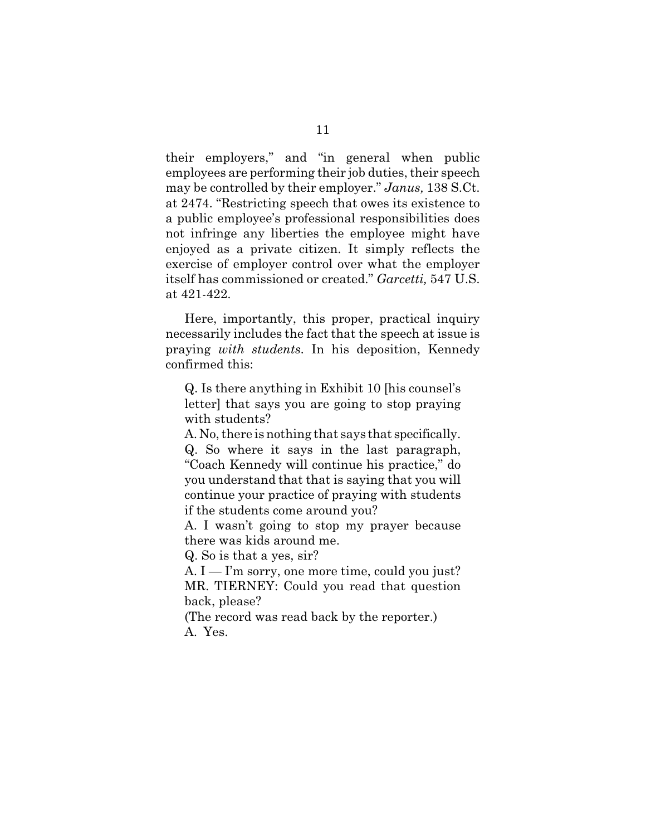their employers," and "in general when public employees are performing their job duties, their speech may be controlled by their employer." *Janus,* 138 S.Ct. at 2474. "Restricting speech that owes its existence to a public employee's professional responsibilities does not infringe any liberties the employee might have enjoyed as a private citizen. It simply reflects the exercise of employer control over what the employer itself has commissioned or created." *Garcetti,* 547 U.S. at 421-422.

Here, importantly, this proper, practical inquiry necessarily includes the fact that the speech at issue is praying *with students*. In his deposition, Kennedy confirmed this:

Q. Is there anything in Exhibit 10 [his counsel's letter] that says you are going to stop praying with students?

A. No, there is nothing that says that specifically. Q. So where it says in the last paragraph, "Coach Kennedy will continue his practice," do you understand that that is saying that you will continue your practice of praying with students if the students come around you?

A. I wasn't going to stop my prayer because there was kids around me.

Q. So is that a yes, sir?

A. I — I'm sorry, one more time, could you just? MR. TIERNEY: Could you read that question back, please?

(The record was read back by the reporter.) A. Yes.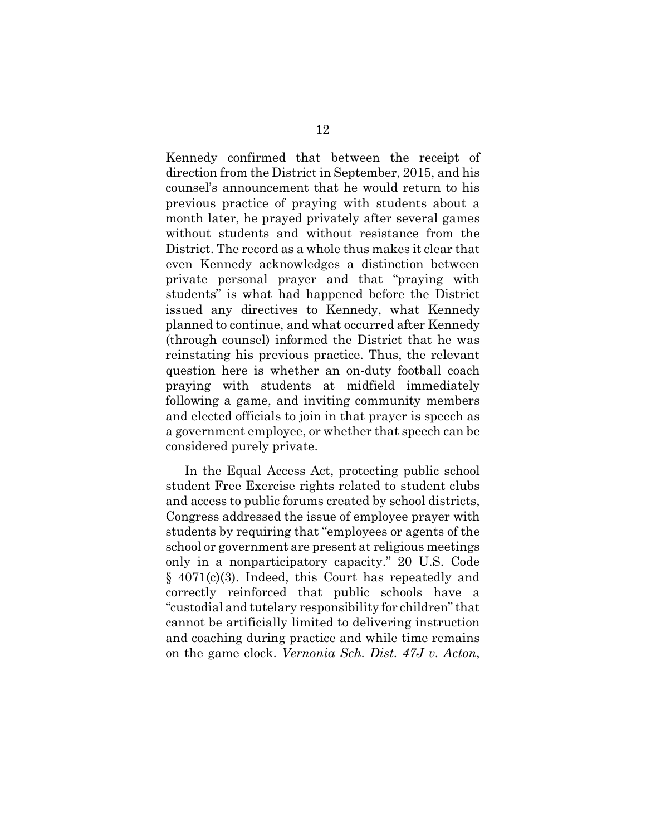Kennedy confirmed that between the receipt of direction from the District in September, 2015, and his counsel's announcement that he would return to his previous practice of praying with students about a month later, he prayed privately after several games without students and without resistance from the District. The record as a whole thus makes it clear that even Kennedy acknowledges a distinction between private personal prayer and that "praying with students" is what had happened before the District issued any directives to Kennedy, what Kennedy planned to continue, and what occurred after Kennedy (through counsel) informed the District that he was reinstating his previous practice. Thus, the relevant question here is whether an on-duty football coach praying with students at midfield immediately following a game, and inviting community members and elected officials to join in that prayer is speech as a government employee, or whether that speech can be considered purely private.

In the Equal Access Act, protecting public school student Free Exercise rights related to student clubs and access to public forums created by school districts, Congress addressed the issue of employee prayer with students by requiring that "employees or agents of the school or government are present at religious meetings only in a nonparticipatory capacity." 20 U.S. Code § 4071(c)(3). Indeed, this Court has repeatedly and correctly reinforced that public schools have a "custodial and tutelary responsibility for children" that cannot be artificially limited to delivering instruction and coaching during practice and while time remains on the game clock. *Vernonia Sch. Dist. 47J v. Acton*,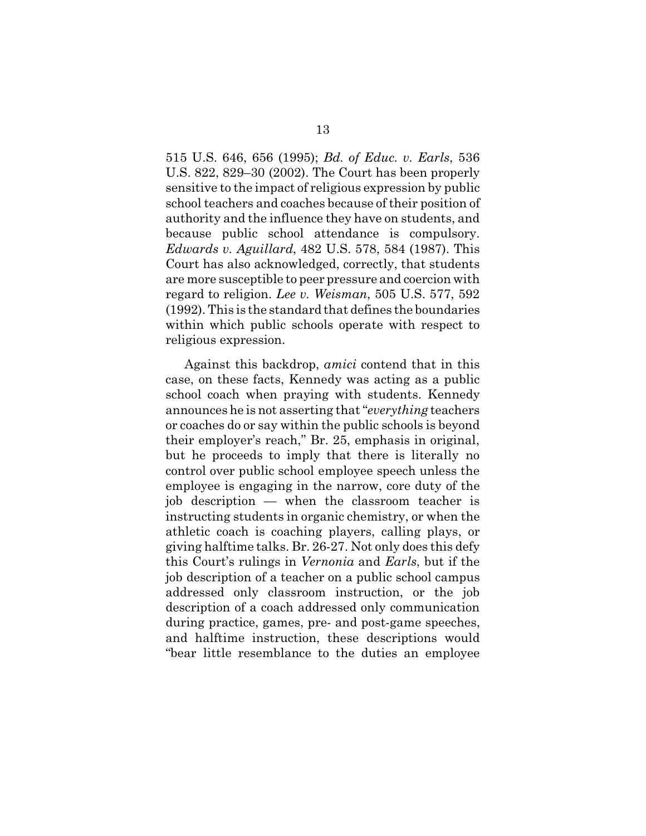515 U.S. 646, 656 (1995); *Bd. of Educ. v. Earls*, 536 U.S. 822, 829–30 (2002). The Court has been properly sensitive to the impact of religious expression by public school teachers and coaches because of their position of authority and the influence they have on students, and because public school attendance is compulsory. *Edwards v. Aguillard*, 482 U.S. 578, 584 (1987). This Court has also acknowledged, correctly, that students are more susceptible to peer pressure and coercion with regard to religion. *Lee v. Weisman*, 505 U.S. 577, 592 (1992). This is the standard that defines the boundaries within which public schools operate with respect to religious expression.

Against this backdrop, *amici* contend that in this case, on these facts, Kennedy was acting as a public school coach when praying with students. Kennedy announces he is not asserting that "*everything* teachers or coaches do or say within the public schools is beyond their employer's reach," Br. 25, emphasis in original, but he proceeds to imply that there is literally no control over public school employee speech unless the employee is engaging in the narrow, core duty of the job description — when the classroom teacher is instructing students in organic chemistry, or when the athletic coach is coaching players, calling plays, or giving halftime talks. Br. 26-27. Not only does this defy this Court's rulings in *Vernonia* and *Earls*, but if the job description of a teacher on a public school campus addressed only classroom instruction, or the job description of a coach addressed only communication during practice, games, pre- and post-game speeches, and halftime instruction, these descriptions would "bear little resemblance to the duties an employee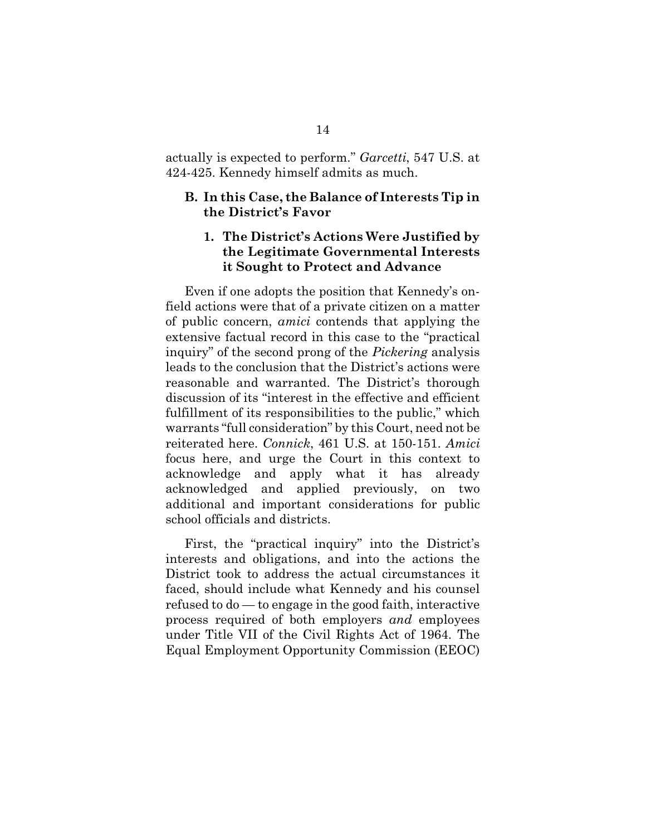actually is expected to perform." *Garcetti*, 547 U.S. at 424-425. Kennedy himself admits as much.

### **B. In this Case, the Balance of Interests Tip in the District's Favor**

## **1. The District's Actions Were Justified by the Legitimate Governmental Interests it Sought to Protect and Advance**

Even if one adopts the position that Kennedy's onfield actions were that of a private citizen on a matter of public concern, *amici* contends that applying the extensive factual record in this case to the "practical inquiry" of the second prong of the *Pickering* analysis leads to the conclusion that the District's actions were reasonable and warranted. The District's thorough discussion of its "interest in the effective and efficient fulfillment of its responsibilities to the public," which warrants "full consideration" by this Court, need not be reiterated here. *Connick*, 461 U.S. at 150-151. *Amici* focus here, and urge the Court in this context to acknowledge and apply what it has already acknowledged and applied previously, on two additional and important considerations for public school officials and districts.

First, the "practical inquiry" into the District's interests and obligations, and into the actions the District took to address the actual circumstances it faced, should include what Kennedy and his counsel refused to do — to engage in the good faith, interactive process required of both employers *and* employees under Title VII of the Civil Rights Act of 1964. The Equal Employment Opportunity Commission (EEOC)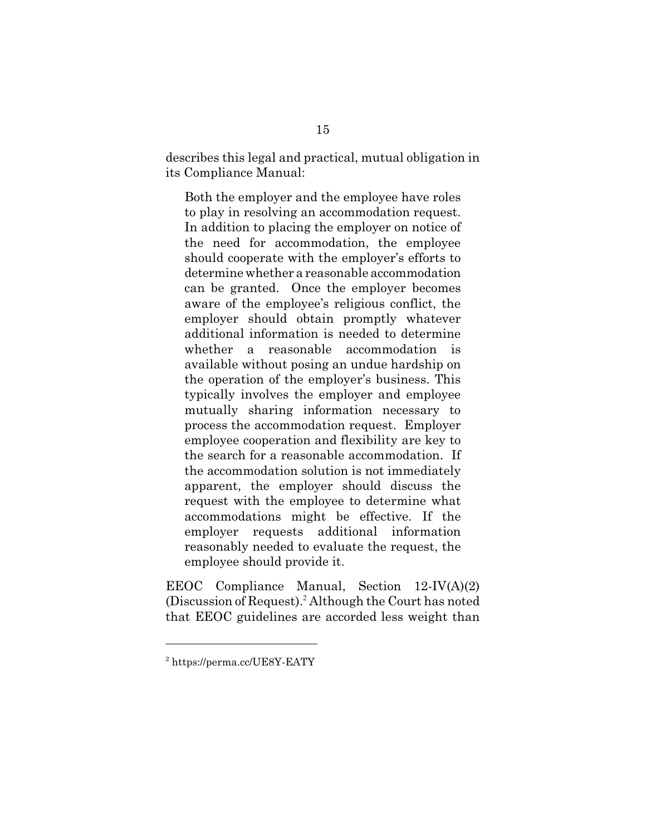describes this legal and practical, mutual obligation in its Compliance Manual:

Both the employer and the employee have roles to play in resolving an accommodation request. In addition to placing the employer on notice of the need for accommodation, the employee should cooperate with the employer's efforts to determine whether a reasonable accommodation can be granted. Once the employer becomes aware of the employee's religious conflict, the employer should obtain promptly whatever additional information is needed to determine whether a reasonable accommodation is available without posing an undue hardship on the operation of the employer's business. This typically involves the employer and employee mutually sharing information necessary to process the accommodation request. Employer employee cooperation and flexibility are key to the search for a reasonable accommodation. If the accommodation solution is not immediately apparent, the employer should discuss the request with the employee to determine what accommodations might be effective. If the employer requests additional information reasonably needed to evaluate the request, the employee should provide it.

EEOC Compliance Manual, Section 12-IV(A)(2) (Discussion of Request).<sup>2</sup> Although the Court has noted that EEOC guidelines are accorded less weight than

<sup>&</sup>lt;sup>2</sup> https://perma.cc/UE8Y-EATY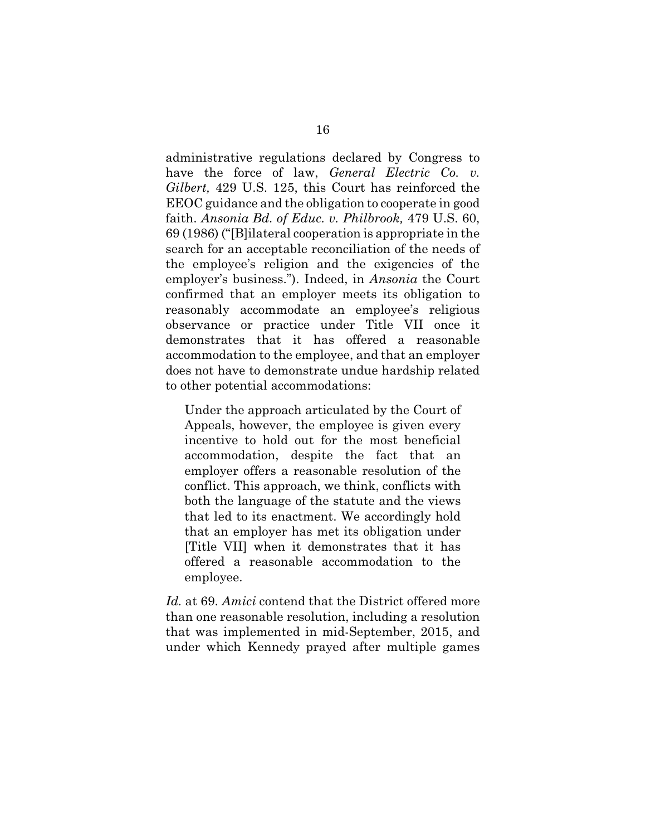administrative regulations declared by Congress to have the force of law, *General Electric Co. v. Gilbert,* 429 U.S. 125, this Court has reinforced the EEOC guidance and the obligation to cooperate in good faith. *Ansonia Bd. of Educ. v. Philbrook,* 479 U.S. 60, 69 (1986) ("[B]ilateral cooperation is appropriate in the search for an acceptable reconciliation of the needs of the employee's religion and the exigencies of the employer's business."). Indeed, in *Ansonia* the Court confirmed that an employer meets its obligation to reasonably accommodate an employee's religious observance or practice under Title VII once it demonstrates that it has offered a reasonable accommodation to the employee, and that an employer does not have to demonstrate undue hardship related to other potential accommodations:

Under the approach articulated by the Court of Appeals, however, the employee is given every incentive to hold out for the most beneficial accommodation, despite the fact that an employer offers a reasonable resolution of the conflict. This approach, we think, conflicts with both the language of the statute and the views that led to its enactment. We accordingly hold that an employer has met its obligation under [Title VII] when it demonstrates that it has offered a reasonable accommodation to the employee.

*Id.* at 69. *Amici* contend that the District offered more than one reasonable resolution, including a resolution that was implemented in mid-September, 2015, and under which Kennedy prayed after multiple games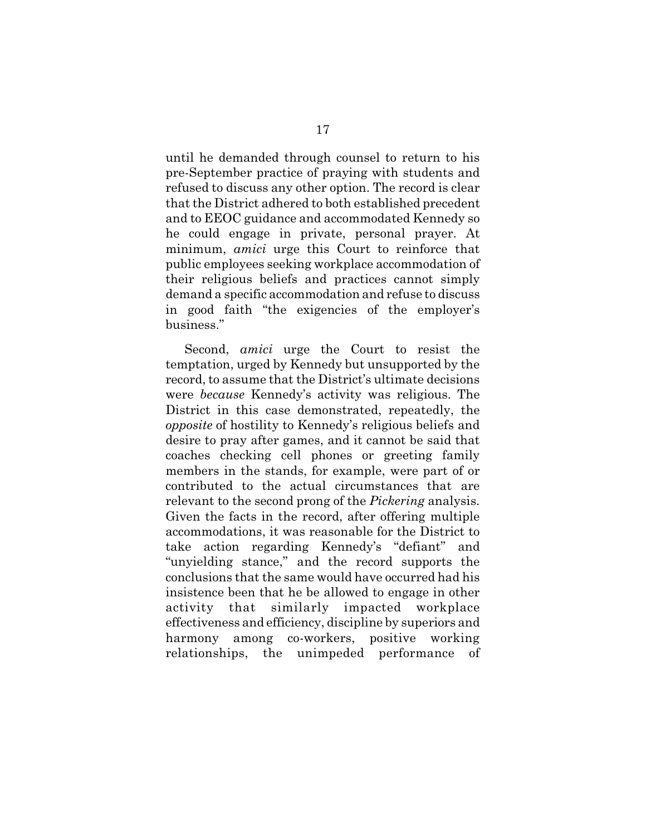until he demanded through counsel to return to his pre-September practice of praying with students and refused to discuss any other option. The record is clear that the District adhered to both established precedent and to EEOC guidance and accommodated Kennedy so he could engage in private, personal prayer. At minimum, *amici* urge this Court to reinforce that public employees seeking workplace accommodation of their religious beliefs and practices cannot simply demand a specific accommodation and refuse to discuss in good faith "the exigencies of the employer's business."

Second, *amici* urge the Court to resist the temptation, urged by Kennedy but unsupported by the record, to assume that the District's ultimate decisions were *because* Kennedy's activity was religious. The District in this case demonstrated, repeatedly, the *opposite* of hostility to Kennedy's religious beliefs and desire to pray after games, and it cannot be said that coaches checking cell phones or greeting family members in the stands, for example, were part of or contributed to the actual circumstances that are relevant to the second prong of the *Pickering* analysis. Given the facts in the record, after offering multiple accommodations, it was reasonable for the District to take action regarding Kennedy's "defiant" and "unyielding stance," and the record supports the conclusions that the same would have occurred had his insistence been that he be allowed to engage in other activity that similarly impacted workplace effectiveness and efficiency, discipline by superiors and harmony among co-workers, positive working relationships, the unimpeded performance of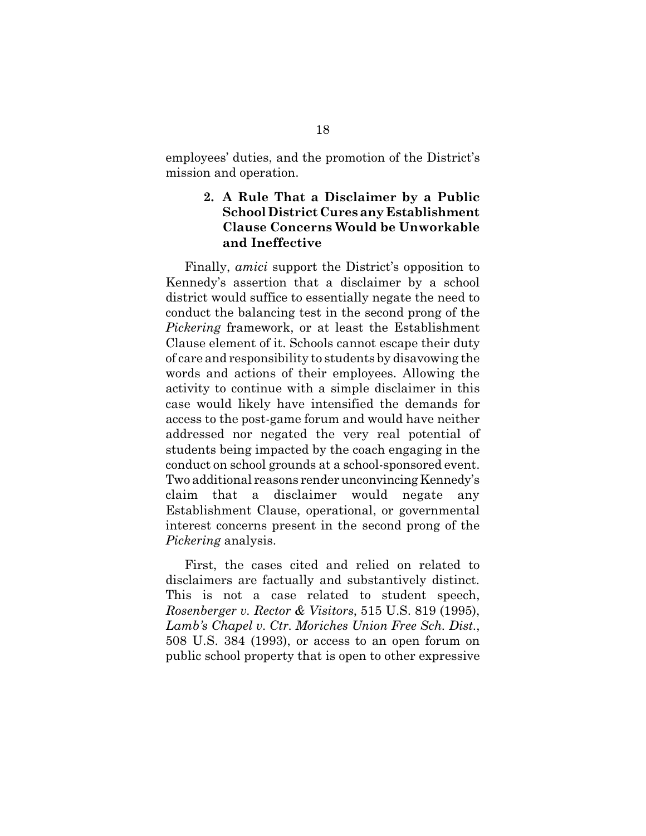employees' duties, and the promotion of the District's mission and operation.

## **2. A Rule That a Disclaimer by a Public School District Cures any Establishment Clause Concerns Would be Unworkable and Ineffective**

Finally, *amici* support the District's opposition to Kennedy's assertion that a disclaimer by a school district would suffice to essentially negate the need to conduct the balancing test in the second prong of the *Pickering* framework, or at least the Establishment Clause element of it. Schools cannot escape their duty of care and responsibility to students by disavowing the words and actions of their employees. Allowing the activity to continue with a simple disclaimer in this case would likely have intensified the demands for access to the post-game forum and would have neither addressed nor negated the very real potential of students being impacted by the coach engaging in the conduct on school grounds at a school-sponsored event. Two additional reasons render unconvincing Kennedy's claim that a disclaimer would negate any Establishment Clause, operational, or governmental interest concerns present in the second prong of the *Pickering* analysis.

First, the cases cited and relied on related to disclaimers are factually and substantively distinct. This is not a case related to student speech, *Rosenberger v. Rector & Visitors*, 515 U.S. 819 (1995), *Lamb's Chapel v. Ctr. Moriches Union Free Sch. Dist.*, 508 U.S. 384 (1993), or access to an open forum on public school property that is open to other expressive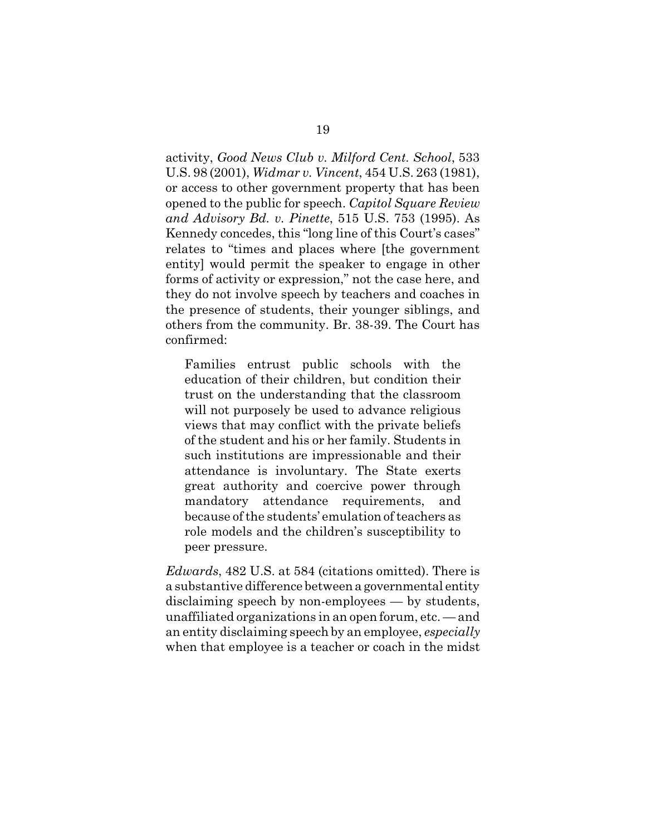activity, *Good News Club v. Milford Cent. School*, 533 U.S. 98 (2001), *Widmar v. Vincent*, 454 U.S. 263 (1981), or access to other government property that has been opened to the public for speech. *Capitol Square Review and Advisory Bd. v. Pinette*, 515 U.S. 753 (1995). As Kennedy concedes, this "long line of this Court's cases" relates to "times and places where [the government entity] would permit the speaker to engage in other forms of activity or expression," not the case here, and they do not involve speech by teachers and coaches in the presence of students, their younger siblings, and others from the community. Br. 38-39. The Court has confirmed:

Families entrust public schools with the education of their children, but condition their trust on the understanding that the classroom will not purposely be used to advance religious views that may conflict with the private beliefs of the student and his or her family. Students in such institutions are impressionable and their attendance is involuntary. The State exerts great authority and coercive power through mandatory attendance requirements, and because of the students' emulation of teachers as role models and the children's susceptibility to peer pressure.

*Edwards*, 482 U.S. at 584 (citations omitted). There is a substantive difference between a governmental entity disclaiming speech by non-employees — by students, unaffiliated organizations in an open forum, etc. — and an entity disclaiming speech by an employee, *especially* when that employee is a teacher or coach in the midst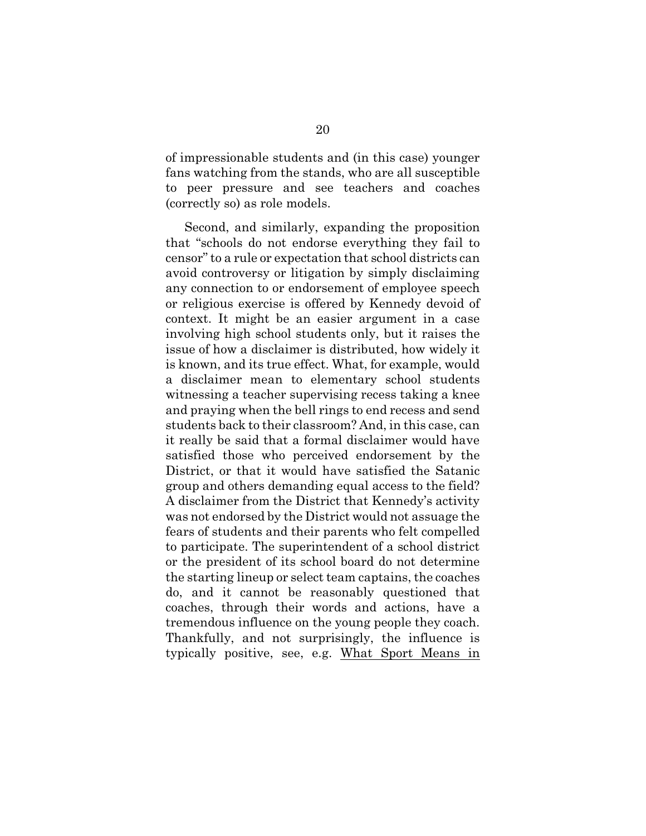of impressionable students and (in this case) younger fans watching from the stands, who are all susceptible to peer pressure and see teachers and coaches (correctly so) as role models.

Second, and similarly, expanding the proposition that "schools do not endorse everything they fail to censor" to a rule or expectation that school districts can avoid controversy or litigation by simply disclaiming any connection to or endorsement of employee speech or religious exercise is offered by Kennedy devoid of context. It might be an easier argument in a case involving high school students only, but it raises the issue of how a disclaimer is distributed, how widely it is known, and its true effect. What, for example, would a disclaimer mean to elementary school students witnessing a teacher supervising recess taking a knee and praying when the bell rings to end recess and send students back to their classroom? And, in this case, can it really be said that a formal disclaimer would have satisfied those who perceived endorsement by the District, or that it would have satisfied the Satanic group and others demanding equal access to the field? A disclaimer from the District that Kennedy's activity was not endorsed by the District would not assuage the fears of students and their parents who felt compelled to participate. The superintendent of a school district or the president of its school board do not determine the starting lineup or select team captains, the coaches do, and it cannot be reasonably questioned that coaches, through their words and actions, have a tremendous influence on the young people they coach. Thankfully, and not surprisingly, the influence is typically positive, see, e.g. What Sport Means in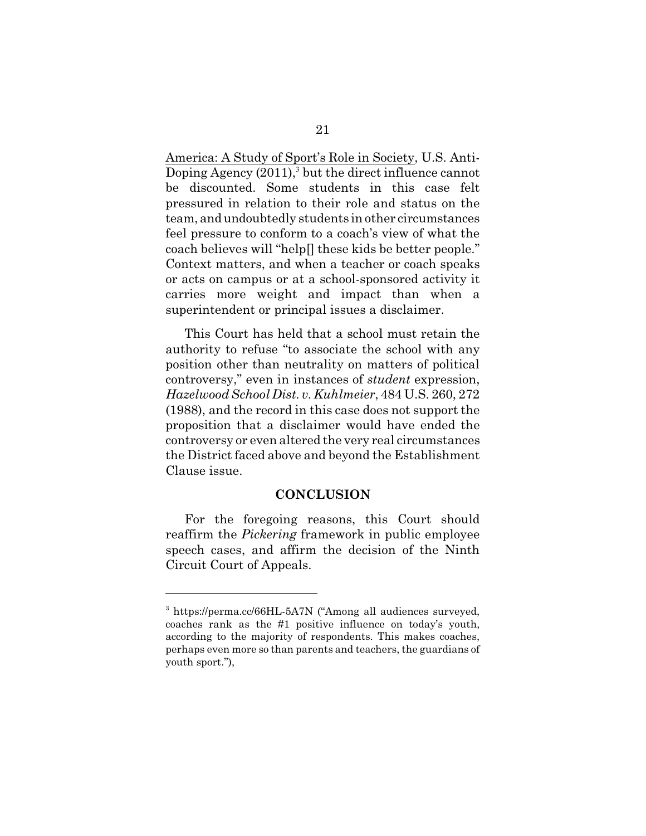America: A Study of Sport's Role in Society, U.S. Anti-Doping Agency (2011),<sup>3</sup> but the direct influence cannot be discounted. Some students in this case felt pressured in relation to their role and status on the team, and undoubtedly students in other circumstances feel pressure to conform to a coach's view of what the coach believes will "help[] these kids be better people." Context matters, and when a teacher or coach speaks or acts on campus or at a school-sponsored activity it carries more weight and impact than when a superintendent or principal issues a disclaimer.

This Court has held that a school must retain the authority to refuse "to associate the school with any position other than neutrality on matters of political controversy," even in instances of *student* expression, *Hazelwood School Dist. v. Kuhlmeier*, 484 U.S. 260, 272 (1988), and the record in this case does not support the proposition that a disclaimer would have ended the controversy or even altered the very real circumstances the District faced above and beyond the Establishment Clause issue.

#### **CONCLUSION**

For the foregoing reasons, this Court should reaffirm the *Pickering* framework in public employee speech cases, and affirm the decision of the Ninth Circuit Court of Appeals.

<sup>&</sup>lt;sup>3</sup> https://perma.cc/66HL-5A7N ("Among all audiences surveyed, coaches rank as the #1 positive influence on today's youth, according to the majority of respondents. This makes coaches, perhaps even more so than parents and teachers, the guardians of youth sport."),